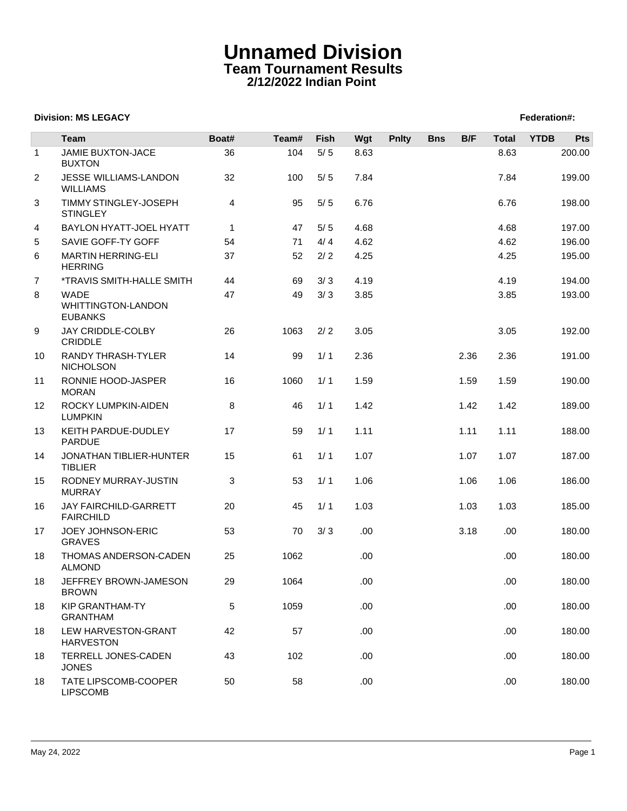## **Unnamed Division Team Tournament Results 2/12/2022 Indian Point**

## **Division: MS LEGACY Federation: Propose Section: Federation: Federation: Federation: Federation: Federation: Federation: Federation: Federation: Federation: Federation: Federation: Federation:**

|                | <b>Team</b>                                                | Boat#        | Team# | Fish  | Wgt  | <b>Pnlty</b> | <b>Bns</b> | B/F  | <b>Total</b> | <b>YTDB</b> | <b>Pts</b> |
|----------------|------------------------------------------------------------|--------------|-------|-------|------|--------------|------------|------|--------------|-------------|------------|
| $\mathbf{1}$   | <b>JAMIE BUXTON-JACE</b><br><b>BUXTON</b>                  | 36           | 104   | $5/5$ | 8.63 |              |            |      | 8.63         |             | 200.00     |
| 2              | JESSE WILLIAMS-LANDON<br><b>WILLIAMS</b>                   | 32           | 100   | 5/5   | 7.84 |              |            |      | 7.84         |             | 199.00     |
| 3              | TIMMY STINGLEY-JOSEPH<br><b>STINGLEY</b>                   | 4            | 95    | 5/5   | 6.76 |              |            |      | 6.76         |             | 198.00     |
| 4              | BAYLON HYATT-JOEL HYATT                                    | $\mathbf{1}$ | 47    | 5/5   | 4.68 |              |            |      | 4.68         |             | 197.00     |
| 5              | SAVIE GOFF-TY GOFF                                         | 54           | 71    | 4/4   | 4.62 |              |            |      | 4.62         |             | 196.00     |
| 6              | <b>MARTIN HERRING-ELI</b><br><b>HERRING</b>                | 37           | 52    | 2/2   | 4.25 |              |            |      | 4.25         |             | 195.00     |
| $\overline{7}$ | <i><b>*TRAVIS SMITH-HALLE SMITH</b></i>                    | 44           | 69    | 3/3   | 4.19 |              |            |      | 4.19         |             | 194.00     |
| 8              | <b>WADE</b><br><b>WHITTINGTON-LANDON</b><br><b>EUBANKS</b> | 47           | 49    | 3/3   | 3.85 |              |            |      | 3.85         |             | 193.00     |
| 9              | JAY CRIDDLE-COLBY<br>CRIDDLE                               | 26           | 1063  | 2/2   | 3.05 |              |            |      | 3.05         |             | 192.00     |
| 10             | RANDY THRASH-TYLER<br><b>NICHOLSON</b>                     | 14           | 99    | 1/1   | 2.36 |              |            | 2.36 | 2.36         |             | 191.00     |
| 11             | RONNIE HOOD-JASPER<br><b>MORAN</b>                         | 16           | 1060  | 1/1   | 1.59 |              |            | 1.59 | 1.59         |             | 190.00     |
| 12             | ROCKY LUMPKIN-AIDEN<br><b>LUMPKIN</b>                      | 8            | 46    | 1/1   | 1.42 |              |            | 1.42 | 1.42         |             | 189.00     |
| 13             | KEITH PARDUE-DUDLEY<br><b>PARDUE</b>                       | 17           | 59    | 1/1   | 1.11 |              |            | 1.11 | 1.11         |             | 188.00     |
| 14             | JONATHAN TIBLIER-HUNTER<br><b>TIBLIER</b>                  | 15           | 61    | 1/1   | 1.07 |              |            | 1.07 | 1.07         |             | 187.00     |
| 15             | RODNEY MURRAY-JUSTIN<br><b>MURRAY</b>                      | 3            | 53    | 1/1   | 1.06 |              |            | 1.06 | 1.06         |             | 186.00     |
| 16             | JAY FAIRCHILD-GARRETT<br><b>FAIRCHILD</b>                  | 20           | 45    | 1/1   | 1.03 |              |            | 1.03 | 1.03         |             | 185.00     |
| 17             | JOEY JOHNSON-ERIC<br><b>GRAVES</b>                         | 53           | 70    | 3/3   | .00  |              |            | 3.18 | .00.         |             | 180.00     |
| 18             | THOMAS ANDERSON-CADEN<br><b>ALMOND</b>                     | 25           | 1062  |       | .00  |              |            |      | .00.         |             | 180.00     |
| 18             | JEFFREY BROWN-JAMESON<br><b>BROWN</b>                      | 29           | 1064  |       | .00  |              |            |      | .00.         |             | 180.00     |
| 18             | <b>KIP GRANTHAM-TY</b><br><b>GRANTHAM</b>                  | 5            | 1059  |       | .00  |              |            |      | .00          |             | 180.00     |
| 18             | LEW HARVESTON-GRANT<br><b>HARVESTON</b>                    | 42           | 57    |       | .00  |              |            |      | .00.         |             | 180.00     |
| 18             | TERRELL JONES-CADEN<br><b>JONES</b>                        | 43           | 102   |       | .00  |              |            |      | .00.         |             | 180.00     |
| 18             | TATE LIPSCOMB-COOPER<br><b>LIPSCOMB</b>                    | 50           | 58    |       | .00  |              |            |      | .00.         |             | 180.00     |